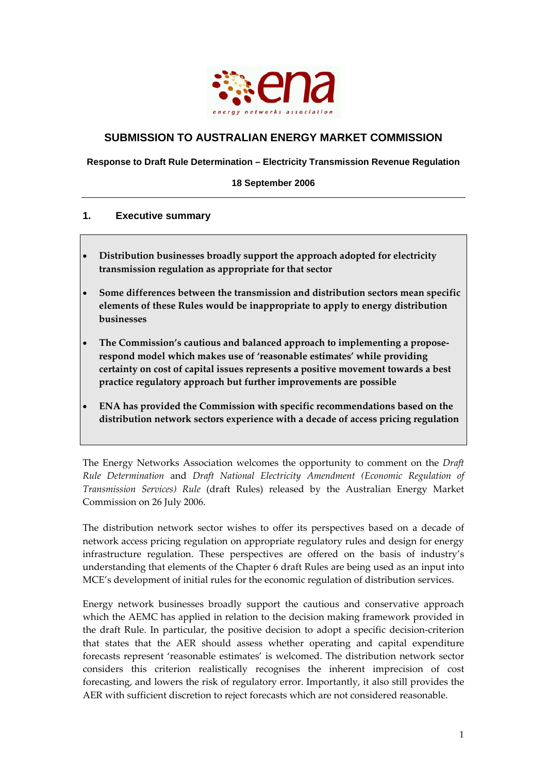

# **SUBMISSION TO AUSTRALIAN ENERGY MARKET COMMISSION**

**Response to Draft Rule Determination – Electricity Transmission Revenue Regulation** 

**18 September 2006** 

#### **1. Executive summary**

- **Distribution businesses broadly support the approach adopted for electricity transmission regulation as appropriate for that sector**
- **Some differences between the transmission and distribution sectors mean specific elements of these Rules would be inappropriate to apply to energy distribution businesses**
- **The Commission's cautious and balanced approach to implementing a propose‐ respond model which makes use of 'reasonable estimates' while providing certainty on cost of capital issues represents a positive movement towards a best practice regulatory approach but further improvements are possible**
- **ENA has provided the Commission with specific recommendations based on the distribution network sectors experience with a decade of access pricing regulation**

The Energy Networks Association welcomes the opportunity to comment on the *Draft Rule Determination* and *Draft National Electricity Amendment (Economic Regulation of Transmission Services) Rule* (draft Rules) released by the Australian Energy Market Commission on 26 July 2006.

The distribution network sector wishes to offer its perspectives based on a decade of network access pricing regulation on appropriate regulatory rules and design for energy infrastructure regulation. These perspectives are offered on the basis of industry's understanding that elements of the Chapter 6 draft Rules are being used as an input into MCE's development of initial rules for the economic regulation of distribution services.

Energy network businesses broadly support the cautious and conservative approach which the AEMC has applied in relation to the decision making framework provided in the draft Rule. In particular, the positive decision to adopt a specific decision‐criterion that states that the AER should assess whether operating and capital expenditure forecasts represent 'reasonable estimates' is welcomed. The distribution network sector considers this criterion realistically recognises the inherent imprecision of cost forecasting, and lowers the risk of regulatory error. Importantly, it also still provides the AER with sufficient discretion to reject forecasts which are not considered reasonable.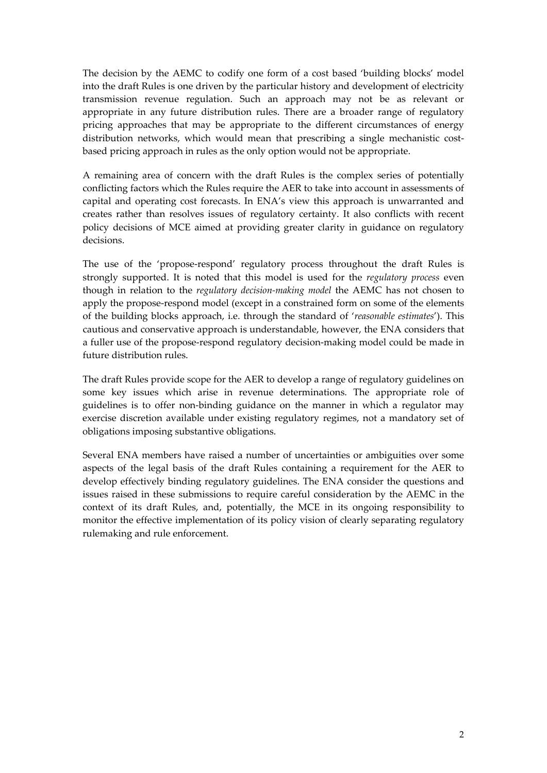The decision by the AEMC to codify one form of a cost based 'building blocks' model into the draft Rules is one driven by the particular history and development of electricity transmission revenue regulation. Such an approach may not be as relevant or appropriate in any future distribution rules. There are a broader range of regulatory pricing approaches that may be appropriate to the different circumstances of energy distribution networks, which would mean that prescribing a single mechanistic costbased pricing approach in rules as the only option would not be appropriate.

A remaining area of concern with the draft Rules is the complex series of potentially conflicting factors which the Rules require the AER to take into account in assessments of capital and operating cost forecasts. In ENA's view this approach is unwarranted and creates rather than resolves issues of regulatory certainty. It also conflicts with recent policy decisions of MCE aimed at providing greater clarity in guidance on regulatory decisions.

The use of the 'propose-respond' regulatory process throughout the draft Rules is strongly supported. It is noted that this model is used for the *regulatory process* even though in relation to the *regulatory decision‐making model* the AEMC has not chosen to apply the propose‐respond model (except in a constrained form on some of the elements of the building blocks approach, i.e. through the standard of '*reasonable estimates*'). This cautious and conservative approach is understandable, however, the ENA considers that a fuller use of the propose‐respond regulatory decision‐making model could be made in future distribution rules.

The draft Rules provide scope for the AER to develop a range of regulatory guidelines on some key issues which arise in revenue determinations. The appropriate role of guidelines is to offer non‐binding guidance on the manner in which a regulator may exercise discretion available under existing regulatory regimes, not a mandatory set of obligations imposing substantive obligations.

Several ENA members have raised a number of uncertainties or ambiguities over some aspects of the legal basis of the draft Rules containing a requirement for the AER to develop effectively binding regulatory guidelines. The ENA consider the questions and issues raised in these submissions to require careful consideration by the AEMC in the context of its draft Rules, and, potentially, the MCE in its ongoing responsibility to monitor the effective implementation of its policy vision of clearly separating regulatory rulemaking and rule enforcement.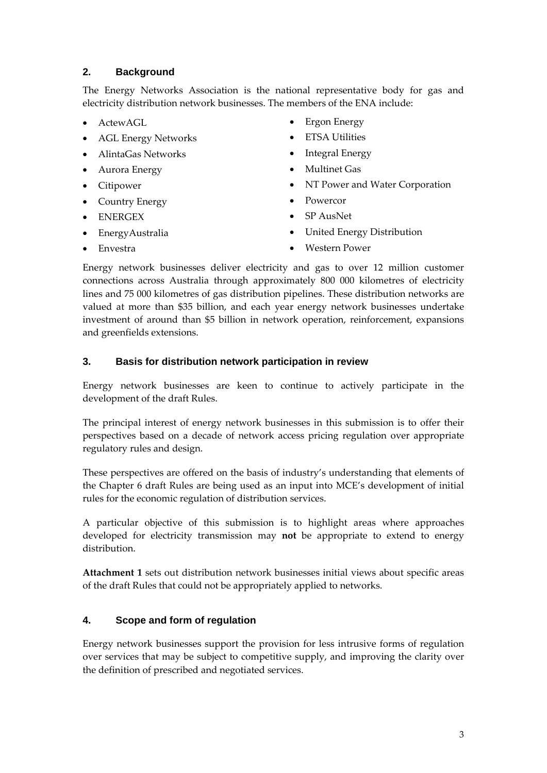# **2. Background**

The Energy Networks Association is the national representative body for gas and electricity distribution network businesses. The members of the ENA include:

- ActewAGL
- AGL Energy Networks
- AlintaGas Networks
- Aurora Energy
- Citipower
- Country Energy
- ENERGEX
- EnergyAustralia
- Ergon Energy
- ETSA Utilities
- Integral Energy
- Multinet Gas
- NT Power and Water Corporation
- Powercor
- SP AusNet
- United Energy Distribution

• Envestra

• Western Power

Energy network businesses deliver electricity and gas to over 12 million customer connections across Australia through approximately 800 000 kilometres of electricity lines and 75 000 kilometres of gas distribution pipelines. These distribution networks are valued at more than \$35 billion, and each year energy network businesses undertake investment of around than \$5 billion in network operation, reinforcement, expansions and greenfields extensions.

# **3. Basis for distribution network participation in review**

Energy network businesses are keen to continue to actively participate in the development of the draft Rules.

The principal interest of energy network businesses in this submission is to offer their perspectives based on a decade of network access pricing regulation over appropriate regulatory rules and design.

These perspectives are offered on the basis of industry's understanding that elements of the Chapter 6 draft Rules are being used as an input into MCE's development of initial rules for the economic regulation of distribution services.

A particular objective of this submission is to highlight areas where approaches developed for electricity transmission may **not** be appropriate to extend to energy distribution.

**Attachment 1** sets out distribution network businesses initial views about specific areas of the draft Rules that could not be appropriately applied to networks.

# **4. Scope and form of regulation**

Energy network businesses support the provision for less intrusive forms of regulation over services that may be subject to competitive supply, and improving the clarity over the definition of prescribed and negotiated services.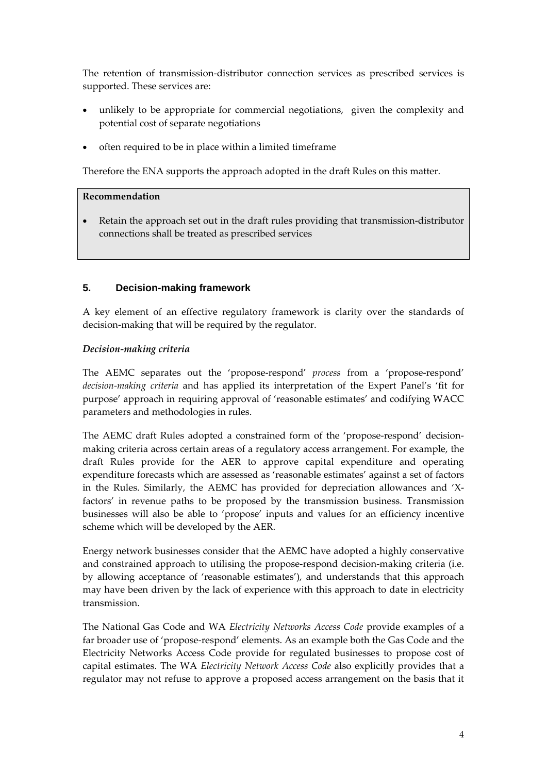The retention of transmission-distributor connection services as prescribed services is supported. These services are:

- unlikely to be appropriate for commercial negotiations, given the complexity and potential cost of separate negotiations
- often required to be in place within a limited timeframe

Therefore the ENA supports the approach adopted in the draft Rules on this matter.

#### **Recommendation**

• Retain the approach set out in the draft rules providing that transmission-distributor connections shall be treated as prescribed services

# **5. Decision-making framework**

A key element of an effective regulatory framework is clarity over the standards of decision‐making that will be required by the regulator.

#### *Decision‐making criteria*

The AEMC separates out the 'propose‐respond' *process* from a 'propose‐respond' *decision‐making criteria* and has applied its interpretation of the Expert Panel's 'fit for purpose' approach in requiring approval of 'reasonable estimates' and codifying WACC parameters and methodologies in rules.

The AEMC draft Rules adopted a constrained form of the 'propose-respond' decisionmaking criteria across certain areas of a regulatory access arrangement. For example, the draft Rules provide for the AER to approve capital expenditure and operating expenditure forecasts which are assessed as 'reasonable estimates' against a set of factors in the Rules. Similarly, the AEMC has provided for depreciation allowances and 'X‐ factors' in revenue paths to be proposed by the transmission business. Transmission businesses will also be able to 'propose' inputs and values for an efficiency incentive scheme which will be developed by the AER.

Energy network businesses consider that the AEMC have adopted a highly conservative and constrained approach to utilising the propose‐respond decision‐making criteria (i.e. by allowing acceptance of 'reasonable estimates'), and understands that this approach may have been driven by the lack of experience with this approach to date in electricity transmission.

The National Gas Code and WA *Electricity Networks Access Code* provide examples of a far broader use of 'propose-respond' elements. As an example both the Gas Code and the Electricity Networks Access Code provide for regulated businesses to propose cost of capital estimates. The WA *Electricity Network Access Code* also explicitly provides that a regulator may not refuse to approve a proposed access arrangement on the basis that it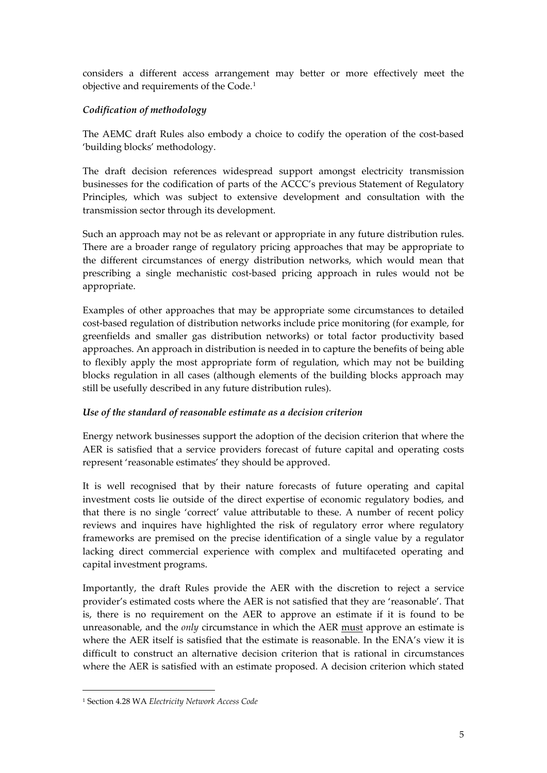considers a different access arrangement may better or more effectively meet the objective and requirements of the Code.[1](#page-4-0)

# *Codification of methodology*

The AEMC draft Rules also embody a choice to codify the operation of the cost-based 'building blocks' methodology.

The draft decision references widespread support amongst electricity transmission businesses for the codification of parts of the ACCC's previous Statement of Regulatory Principles, which was subject to extensive development and consultation with the transmission sector through its development.

Such an approach may not be as relevant or appropriate in any future distribution rules. There are a broader range of regulatory pricing approaches that may be appropriate to the different circumstances of energy distribution networks, which would mean that prescribing a single mechanistic cost‐based pricing approach in rules would not be appropriate.

Examples of other approaches that may be appropriate some circumstances to detailed cost-based regulation of distribution networks include price monitoring (for example, for greenfields and smaller gas distribution networks) or total factor productivity based approaches. An approach in distribution is needed in to capture the benefits of being able to flexibly apply the most appropriate form of regulation, which may not be building blocks regulation in all cases (although elements of the building blocks approach may still be usefully described in any future distribution rules).

### *Use of the standard of reasonable estimate as a decision criterion*

Energy network businesses support the adoption of the decision criterion that where the AER is satisfied that a service providers forecast of future capital and operating costs represent 'reasonable estimates' they should be approved.

It is well recognised that by their nature forecasts of future operating and capital investment costs lie outside of the direct expertise of economic regulatory bodies, and that there is no single 'correct' value attributable to these. A number of recent policy reviews and inquires have highlighted the risk of regulatory error where regulatory frameworks are premised on the precise identification of a single value by a regulator lacking direct commercial experience with complex and multifaceted operating and capital investment programs.

Importantly, the draft Rules provide the AER with the discretion to reject a service provider's estimated costs where the AER is not satisfied that they are 'reasonable'. That is, there is no requirement on the AER to approve an estimate if it is found to be unreasonable, and the *only* circumstance in which the AER must approve an estimate is where the AER itself is satisfied that the estimate is reasonable. In the ENA's view it is difficult to construct an alternative decision criterion that is rational in circumstances where the AER is satisfied with an estimate proposed. A decision criterion which stated

<u>.</u>

<span id="page-4-0"></span><sup>1</sup> Section 4.28 WA *Electricity Network Access Code*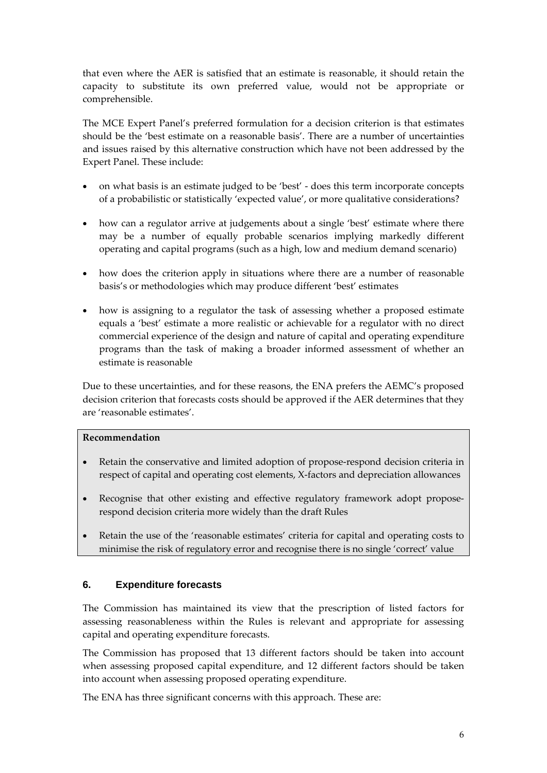that even where the AER is satisfied that an estimate is reasonable, it should retain the capacity to substitute its own preferred value, would not be appropriate or comprehensible.

The MCE Expert Panel's preferred formulation for a decision criterion is that estimates should be the 'best estimate on a reasonable basis'. There are a number of uncertainties and issues raised by this alternative construction which have not been addressed by the Expert Panel. These include:

- on what basis is an estimate judged to be 'best' ‐ does this term incorporate concepts of a probabilistic or statistically 'expected value', or more qualitative considerations?
- how can a regulator arrive at judgements about a single 'best' estimate where there may be a number of equally probable scenarios implying markedly different operating and capital programs (such as a high, low and medium demand scenario)
- how does the criterion apply in situations where there are a number of reasonable basis's or methodologies which may produce different 'best' estimates
- how is assigning to a regulator the task of assessing whether a proposed estimate equals a 'best' estimate a more realistic or achievable for a regulator with no direct commercial experience of the design and nature of capital and operating expenditure programs than the task of making a broader informed assessment of whether an estimate is reasonable

Due to these uncertainties, and for these reasons, the ENA prefers the AEMC's proposed decision criterion that forecasts costs should be approved if the AER determines that they are 'reasonable estimates'.

# **Recommendation**

- Retain the conservative and limited adoption of propose-respond decision criteria in respect of capital and operating cost elements, X‐factors and depreciation allowances
- Recognise that other existing and effective regulatory framework adopt proposerespond decision criteria more widely than the draft Rules
- Retain the use of the 'reasonable estimates' criteria for capital and operating costs to minimise the risk of regulatory error and recognise there is no single 'correct' value

### **6. Expenditure forecasts**

The Commission has maintained its view that the prescription of listed factors for assessing reasonableness within the Rules is relevant and appropriate for assessing capital and operating expenditure forecasts.

The Commission has proposed that 13 different factors should be taken into account when assessing proposed capital expenditure, and 12 different factors should be taken into account when assessing proposed operating expenditure.

The ENA has three significant concerns with this approach. These are: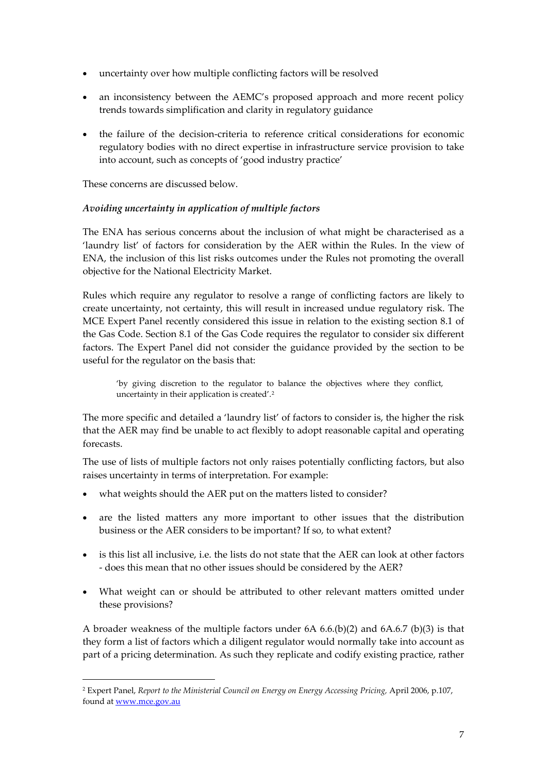- uncertainty over how multiple conflicting factors will be resolved
- an inconsistency between the AEMC's proposed approach and more recent policy trends towards simplification and clarity in regulatory guidance
- the failure of the decision‐criteria to reference critical considerations for economic regulatory bodies with no direct expertise in infrastructure service provision to take into account, such as concepts of 'good industry practice'

These concerns are discussed below.

1

# *Avoiding uncertainty in application of multiple factors*

The ENA has serious concerns about the inclusion of what might be characterised as a 'laundry list' of factors for consideration by the AER within the Rules. In the view of ENA, the inclusion of this list risks outcomes under the Rules not promoting the overall objective for the National Electricity Market.

Rules which require any regulator to resolve a range of conflicting factors are likely to create uncertainty, not certainty, this will result in increased undue regulatory risk. The MCE Expert Panel recently considered this issue in relation to the existing section 8.1 of the Gas Code. Section 8.1 of the Gas Code requires the regulator to consider six different factors. The Expert Panel did not consider the guidance provided by the section to be useful for the regulator on the basis that:

'by giving discretion to the regulator to balance the objectives where they conflict, uncertainty in their application is created'.[2](#page-6-0)

The more specific and detailed a 'laundry list' of factors to consider is, the higher the risk that the AER may find be unable to act flexibly to adopt reasonable capital and operating forecasts.

The use of lists of multiple factors not only raises potentially conflicting factors, but also raises uncertainty in terms of interpretation. For example:

- what weights should the AER put on the matters listed to consider?
- are the listed matters any more important to other issues that the distribution business or the AER considers to be important? If so, to what extent?
- is this list all inclusive, i.e. the lists do not state that the AER can look at other factors ‐ does this mean that no other issues should be considered by the AER?
- What weight can or should be attributed to other relevant matters omitted under these provisions?

A broader weakness of the multiple factors under 6A 6.6.(b)(2) and 6A.6.7 (b)(3) is that they form a list of factors which a diligent regulator would normally take into account as part of a pricing determination. As such they replicate and codify existing practice, rather

<span id="page-6-0"></span><sup>2</sup> Expert Panel, *Report to the Ministerial Council on Energy on Energy Accessing Pricing,* April 2006, p.107, found at [www.mce.gov.au](http://www.mce.gov.au/)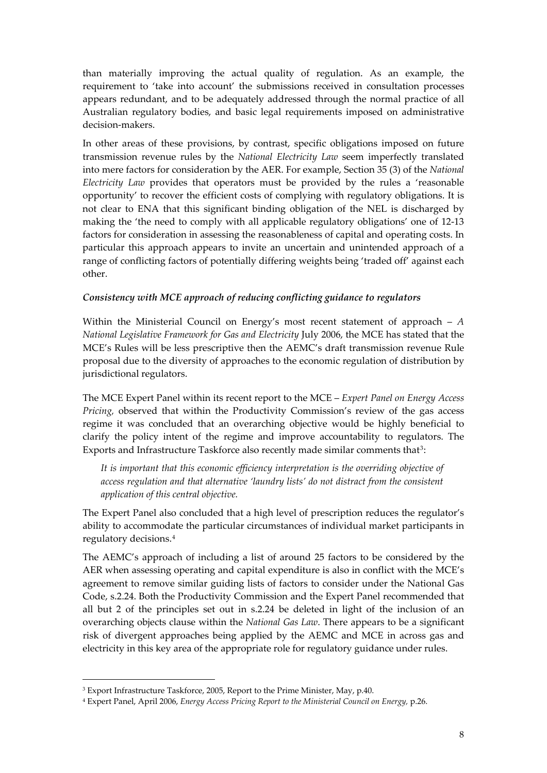than materially improving the actual quality of regulation. As an example, the requirement to 'take into account' the submissions received in consultation processes appears redundant, and to be adequately addressed through the normal practice of all Australian regulatory bodies, and basic legal requirements imposed on administrative decision‐makers.

In other areas of these provisions, by contrast, specific obligations imposed on future transmission revenue rules by the *National Electricity Law* seem imperfectly translated into mere factors for consideration by the AER. For example, Section 35 (3) of the *National Electricity Law* provides that operators must be provided by the rules a 'reasonable opportunity' to recover the efficient costs of complying with regulatory obligations. It is not clear to ENA that this significant binding obligation of the NEL is discharged by making the 'the need to comply with all applicable regulatory obligations' one of 12‐13 factors for consideration in assessing the reasonableness of capital and operating costs. In particular this approach appears to invite an uncertain and unintended approach of a range of conflicting factors of potentially differing weights being 'traded off' against each other.

#### *Consistency with MCE approach of reducing conflicting guidance to regulators*

Within the Ministerial Council on Energy's most recent statement of approach – *A National Legislative Framework for Gas and Electricity* July 2006, the MCE has stated that the MCE's Rules will be less prescriptive then the AEMC's draft transmission revenue Rule proposal due to the diversity of approaches to the economic regulation of distribution by jurisdictional regulators.

The MCE Expert Panel within its recent report to the MCE – *Expert Panel on Energy Access Pricing,* observed that within the Productivity Commission's review of the gas access regime it was concluded that an overarching objective would be highly beneficial to clarify the policy intent of the regime and improve accountability to regulators. The Exports and Infrastructure Taskforce also recently made similar comments that<sup>[3](#page-7-0)</sup>:

*It is important that this economic efficiency interpretation is the overriding objective of access regulation and that alternative 'laundry lists' do not distract from the consistent application of this central objective.* 

The Expert Panel also concluded that a high level of prescription reduces the regulator's ability to accommodate the particular circumstances of individual market participants in regulatory decisions.[4](#page-7-1)

The AEMC's approach of including a list of around 25 factors to be considered by the AER when assessing operating and capital expenditure is also in conflict with the MCE's agreement to remove similar guiding lists of factors to consider under the National Gas Code, s.2.24. Both the Productivity Commission and the Expert Panel recommended that all but 2 of the principles set out in s.2.24 be deleted in light of the inclusion of an overarching objects clause within the *National Gas Law*. There appears to be a significant risk of divergent approaches being applied by the AEMC and MCE in across gas and electricity in this key area of the appropriate role for regulatory guidance under rules.

1

<span id="page-7-0"></span><sup>&</sup>lt;sup>3</sup> Export Infrastructure Taskforce, 2005, Report to the Prime Minister, May, p.40.

<span id="page-7-1"></span><sup>4</sup> Expert Panel, April 2006, *Energy Access Pricing Report to the Ministerial Council on Energy,* p.26.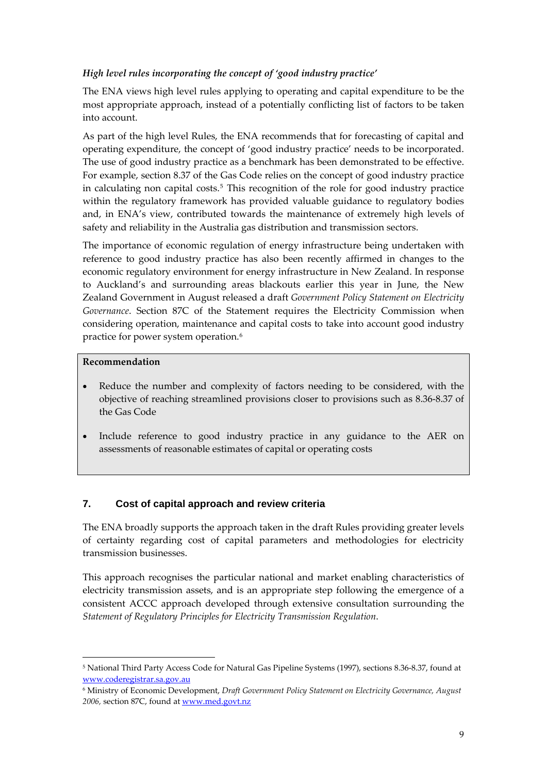# *High level rules incorporating the concept of 'good industry practice'*

The ENA views high level rules applying to operating and capital expenditure to be the most appropriate approach, instead of a potentially conflicting list of factors to be taken into account.

As part of the high level Rules, the ENA recommends that for forecasting of capital and operating expenditure, the concept of 'good industry practice' needs to be incorporated. The use of good industry practice as a benchmark has been demonstrated to be effective. For example, section 8.37 of the Gas Code relies on the concept of good industry practice in calculating non capital costs.[5](#page-8-0) This recognition of the role for good industry practice within the regulatory framework has provided valuable guidance to regulatory bodies and, in ENA's view, contributed towards the maintenance of extremely high levels of safety and reliability in the Australia gas distribution and transmission sectors.

The importance of economic regulation of energy infrastructure being undertaken with reference to good industry practice has also been recently affirmed in changes to the economic regulatory environment for energy infrastructure in New Zealand. In response to Auckland's and surrounding areas blackouts earlier this year in June, the New Zealand Government in August released a draft *Government Policy Statement on Electricity Governance*. Section 87C of the Statement requires the Electricity Commission when considering operation, maintenance and capital costs to take into account good industry practice for power system operation.[6](#page-8-1)

#### **Recommendation**

1

- Reduce the number and complexity of factors needing to be considered, with the objective of reaching streamlined provisions closer to provisions such as 8.36‐8.37 of the Gas Code
- Include reference to good industry practice in any guidance to the AER on assessments of reasonable estimates of capital or operating costs

# **7. Cost of capital approach and review criteria**

The ENA broadly supports the approach taken in the draft Rules providing greater levels of certainty regarding cost of capital parameters and methodologies for electricity transmission businesses.

This approach recognises the particular national and market enabling characteristics of electricity transmission assets, and is an appropriate step following the emergence of a consistent ACCC approach developed through extensive consultation surrounding the *Statement of Regulatory Principles for Electricity Transmission Regulation*.

<span id="page-8-0"></span><sup>5</sup> National Third Party Access Code for Natural Gas Pipeline Systems (1997), sections 8.36‐8.37, found at [www.coderegistrar.sa.gov.au](http://www.coderegistrar.sa.gov.au/)

<span id="page-8-1"></span><sup>6</sup> Ministry of Economic Development, *Draft Government Policy Statement on Electricity Governance, August 2006,* section 87C, found at [www.med.govt.nz](http://www.med.govt.nz/)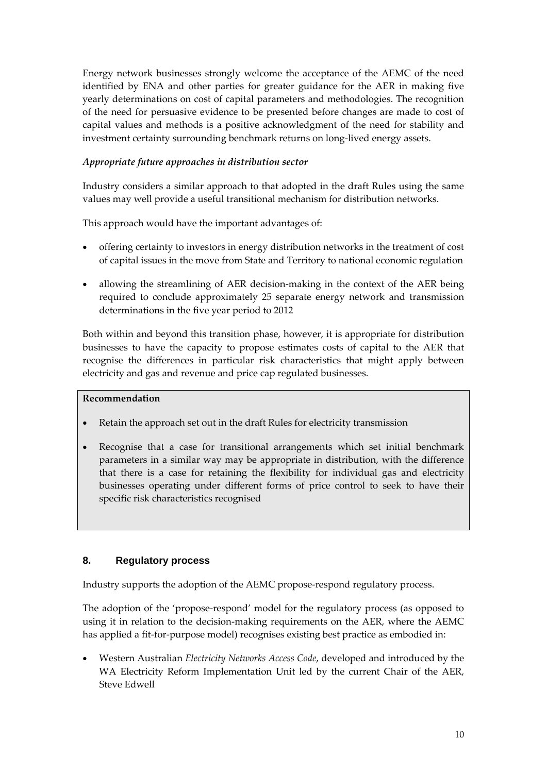Energy network businesses strongly welcome the acceptance of the AEMC of the need identified by ENA and other parties for greater guidance for the AER in making five yearly determinations on cost of capital parameters and methodologies. The recognition of the need for persuasive evidence to be presented before changes are made to cost of capital values and methods is a positive acknowledgment of the need for stability and investment certainty surrounding benchmark returns on long‐lived energy assets.

### *Appropriate future approaches in distribution sector*

Industry considers a similar approach to that adopted in the draft Rules using the same values may well provide a useful transitional mechanism for distribution networks.

This approach would have the important advantages of:

- offering certainty to investors in energy distribution networks in the treatment of cost of capital issues in the move from State and Territory to national economic regulation
- allowing the streamlining of AER decision-making in the context of the AER being required to conclude approximately 25 separate energy network and transmission determinations in the five year period to 2012

Both within and beyond this transition phase, however, it is appropriate for distribution businesses to have the capacity to propose estimates costs of capital to the AER that recognise the differences in particular risk characteristics that might apply between electricity and gas and revenue and price cap regulated businesses.

### **Recommendation**

- Retain the approach set out in the draft Rules for electricity transmission
- Recognise that a case for transitional arrangements which set initial benchmark parameters in a similar way may be appropriate in distribution, with the difference that there is a case for retaining the flexibility for individual gas and electricity businesses operating under different forms of price control to seek to have their specific risk characteristics recognised

# **8. Regulatory process**

Industry supports the adoption of the AEMC propose‐respond regulatory process.

The adoption of the 'propose-respond' model for the regulatory process (as opposed to using it in relation to the decision‐making requirements on the AER, where the AEMC has applied a fit-for-purpose model) recognises existing best practice as embodied in:

• Western Australian *Electricity Networks Access Code*, developed and introduced by the WA Electricity Reform Implementation Unit led by the current Chair of the AER, Steve Edwell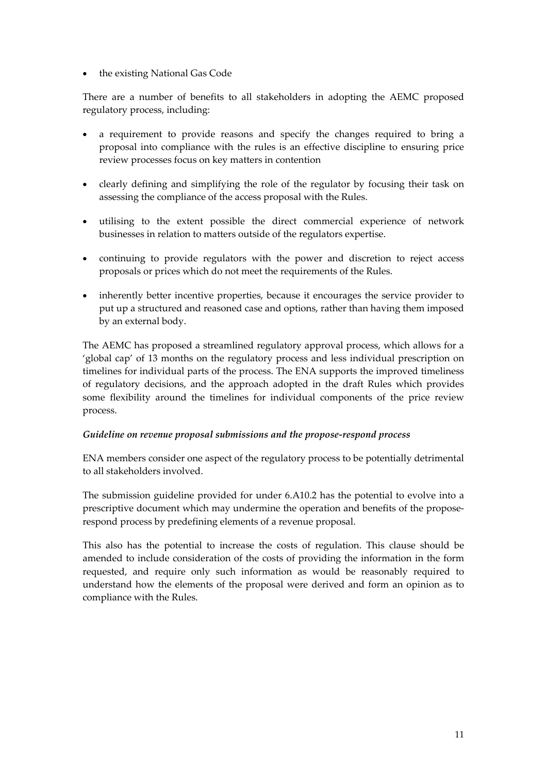• the existing National Gas Code

There are a number of benefits to all stakeholders in adopting the AEMC proposed regulatory process, including:

- a requirement to provide reasons and specify the changes required to bring a proposal into compliance with the rules is an effective discipline to ensuring price review processes focus on key matters in contention
- clearly defining and simplifying the role of the regulator by focusing their task on assessing the compliance of the access proposal with the Rules.
- utilising to the extent possible the direct commercial experience of network businesses in relation to matters outside of the regulators expertise.
- continuing to provide regulators with the power and discretion to reject access proposals or prices which do not meet the requirements of the Rules.
- inherently better incentive properties, because it encourages the service provider to put up a structured and reasoned case and options, rather than having them imposed by an external body.

The AEMC has proposed a streamlined regulatory approval process, which allows for a 'global cap' of 13 months on the regulatory process and less individual prescription on timelines for individual parts of the process. The ENA supports the improved timeliness of regulatory decisions, and the approach adopted in the draft Rules which provides some flexibility around the timelines for individual components of the price review process.

### *Guideline on revenue proposal submissions and the propose‐respond process*

ENA members consider one aspect of the regulatory process to be potentially detrimental to all stakeholders involved.

The submission guideline provided for under 6.A10.2 has the potential to evolve into a prescriptive document which may undermine the operation and benefits of the propose‐ respond process by predefining elements of a revenue proposal.

This also has the potential to increase the costs of regulation. This clause should be amended to include consideration of the costs of providing the information in the form requested, and require only such information as would be reasonably required to understand how the elements of the proposal were derived and form an opinion as to compliance with the Rules.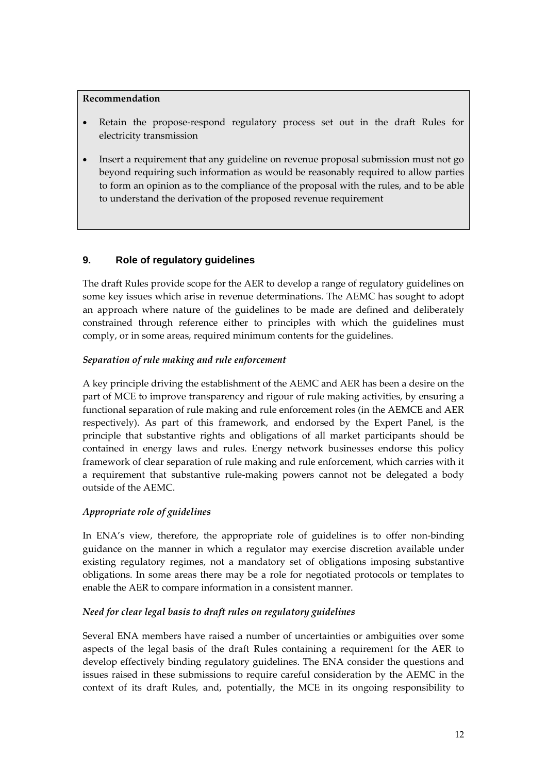#### **Recommendation**

- Retain the propose-respond regulatory process set out in the draft Rules for electricity transmission
- Insert a requirement that any guideline on revenue proposal submission must not go beyond requiring such information as would be reasonably required to allow parties to form an opinion as to the compliance of the proposal with the rules, and to be able to understand the derivation of the proposed revenue requirement

# **9. Role of regulatory guidelines**

The draft Rules provide scope for the AER to develop a range of regulatory guidelines on some key issues which arise in revenue determinations. The AEMC has sought to adopt an approach where nature of the guidelines to be made are defined and deliberately constrained through reference either to principles with which the guidelines must comply, or in some areas, required minimum contents for the guidelines.

### *Separation of rule making and rule enforcement*

A key principle driving the establishment of the AEMC and AER has been a desire on the part of MCE to improve transparency and rigour of rule making activities, by ensuring a functional separation of rule making and rule enforcement roles (in the AEMCE and AER respectively). As part of this framework, and endorsed by the Expert Panel, is the principle that substantive rights and obligations of all market participants should be contained in energy laws and rules. Energy network businesses endorse this policy framework of clear separation of rule making and rule enforcement, which carries with it a requirement that substantive rule‐making powers cannot not be delegated a body outside of the AEMC.

### *Appropriate role of guidelines*

In ENA's view, therefore, the appropriate role of guidelines is to offer non-binding guidance on the manner in which a regulator may exercise discretion available under existing regulatory regimes, not a mandatory set of obligations imposing substantive obligations. In some areas there may be a role for negotiated protocols or templates to enable the AER to compare information in a consistent manner.

### *Need for clear legal basis to draft rules on regulatory guidelines*

Several ENA members have raised a number of uncertainties or ambiguities over some aspects of the legal basis of the draft Rules containing a requirement for the AER to develop effectively binding regulatory guidelines. The ENA consider the questions and issues raised in these submissions to require careful consideration by the AEMC in the context of its draft Rules, and, potentially, the MCE in its ongoing responsibility to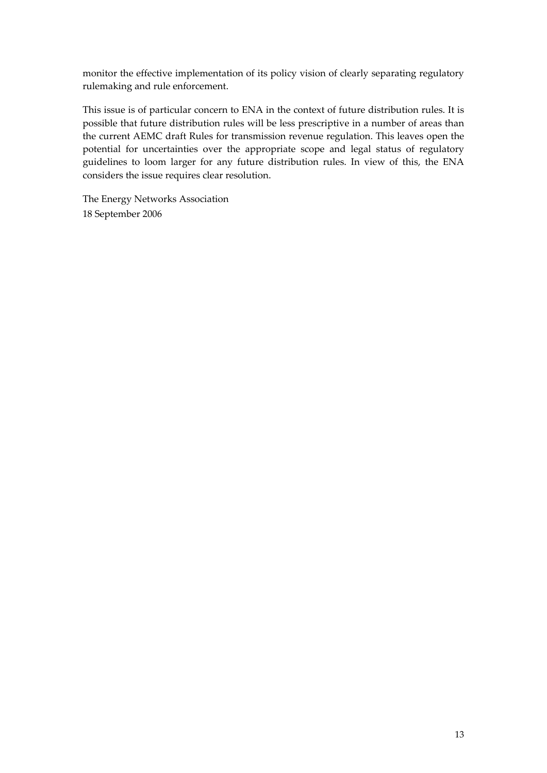monitor the effective implementation of its policy vision of clearly separating regulatory rulemaking and rule enforcement.

This issue is of particular concern to ENA in the context of future distribution rules. It is possible that future distribution rules will be less prescriptive in a number of areas than the current AEMC draft Rules for transmission revenue regulation. This leaves open the potential for uncertainties over the appropriate scope and legal status of regulatory guidelines to loom larger for any future distribution rules. In view of this, the ENA considers the issue requires clear resolution.

The Energy Networks Association 18 September 2006